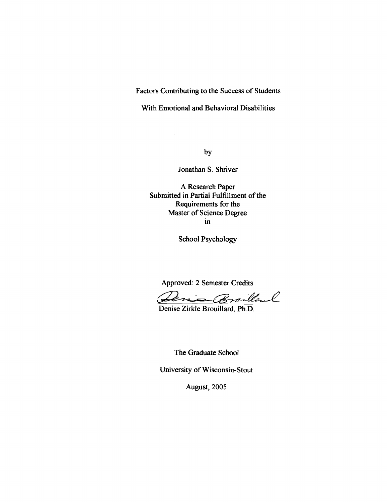**Factors Contributing to the Success of Students** 

**With Emotional and Behavioral Disabilities** 

 $by$ 

**Jonathan S. Shriver** 

**A Research Paper Submitted in Partial Fulfillment of the Requirements for the Master of Science Degree in** 

**School Psychology** 

**Approved: 2 Semester Credits** 

ens Broilleral

**Denise Zirkle Brouillard, Ph.D.** 

**The Graduate School** 

**University of Wisconsin-Stout** 

**August, 2005**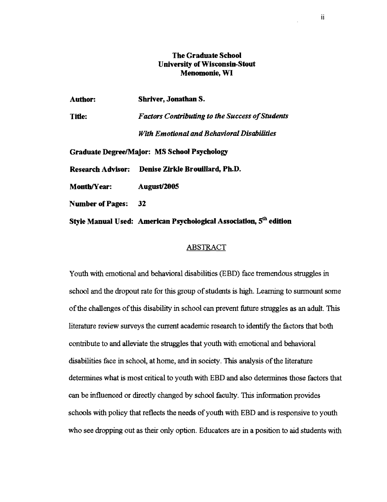# **The Graduate School University of Wisconsin-Stout Menomonie, WI**

| <b>Author:</b>    | <b>Shriver, Jonathan S.</b>                            |
|-------------------|--------------------------------------------------------|
| Title:            | <b>Factors Contributing to the Success of Students</b> |
|                   | With Emotional and Behavioral Disabilities             |
|                   | <b>Graduate Degree/Major: MS School Psychology</b>     |
| Research Advisor: | Denise Zirkle Brouillard, Ph.D.                        |

Month/Year: **August**/2005

**Number of Pages: 32** 

**Style Manual Used: American Psychological Association, 5" edition** 

## **ABSTRACT**

Youth with emotional and behavioral disabilities (EBD) face tremendous struggles in school and the dropout rate for this group of students is hgh. Learning to surmount some of the challenges of tlus disability in school can prevent future struggles **as** an adult. This literature review surveys the current academic research to identify the factors that both contribute to and alleviate the struggles that youth with emotional and behavioral disabilities face in school, at home, and in society. This analysis of the literature determines what is most critical to youth with EBD and also determines those factors that can be influenced or directly changed by school faculty. This information provides schools with policy that reflects the needs of youth with EBD and is responsive to youth who see dropping out **as** their only option. Educators are in a position to aid students with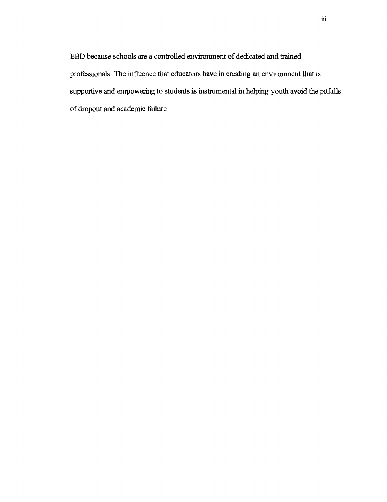EBD because schools are a controlled environment of dedicated and trained professionals. The influence that educators have in creating an environment that is supportive and empowering to students is instrumental in helping youth avoid the pitfalls of dropout and academic failure.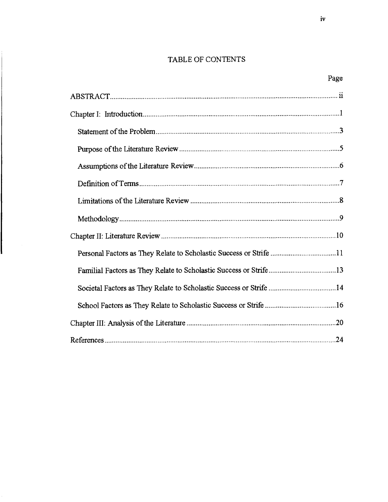# TABLE OF CONTENTS

| Personal Factors as They Relate to Scholastic Success or Strife 11 |  |
|--------------------------------------------------------------------|--|
|                                                                    |  |
| Societal Factors as They Relate to Scholastic Success or Strife 14 |  |
|                                                                    |  |
|                                                                    |  |
|                                                                    |  |

 $\parallel$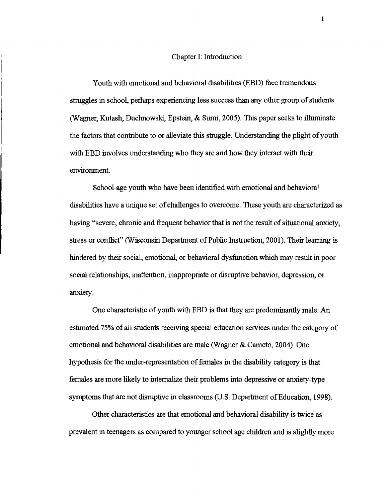#### Chapter I: Introduction

Youth with emotional and behavioral disabilities (EBD) face tremendous struggles in school, perhaps experiencing less success than any other group of students (Wagner, Kutash, Duchnowski, Epstein,  $\&$  Sumi, 2005). This paper seeks to illuminate the factors that contribute to or alleviate this struggle. Understanding the plight of youth with EBD involves understanding who they are and how they interact with their environment.

School-age youth who have been identified with emotional and behavioral disabilities have a unique set of challenges to overcome. These youth are characterized as having "severe, chronic and fiequent behavior that is not the result of situational anxiety, stress or conflict" (Wisconsin Department of Public Instruction, 2001). Their learning is hindered by their social, emotional, or behavioral dysfunction whch may result in poor social relationships, inattention, inappropriate or disruptive behavior, depression, or anxiety.

One characteristic of youth with EBD is that they are predominantly male. An estimated 75% of **all** students receiving special education services under the category of emotional and behavioral disabilities are male (Wagner & Cameto, 2004). One hypothesis for the under-representation of females in the disability category is that females are more hkely to internalize their problems into depressive or anxiety-type symptoms that are not disruptive in classrooms (U.S. Department of Education, 1998).

Other characteristics are that emotional and behavioral disability is twice as prevalent in teenagers as compared to younger school age children and is slightly more

 $\mathbf{1}$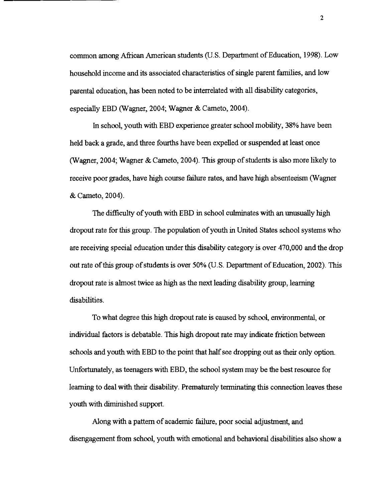common among Afiican American students (U. S. Department of Education, 1998). Low household income and its associated characteristics of single parent farmlies, and low parental education, has been noted to be interrelated with all disability categories, especially EBD (Wagner, 2004; Wagner & Cameto, 2004).

In school, youth with EBD experience greater school mobility, 38% have been held back a grade, and three fourths have been expelled or suspended at least once (Wagner, 2004; Wagner & Cameto, 2004). This group of students is also more likely to receive poor grades, have high course failure rates, and have high absenteeism (Wagner & Cameto, 2004).

The difficulty of youth with EBD in school culminates with an unusually hgh dropout rate for this group. The population of youth in United States school systems who are receiving special education under ths disability category is over 470,000 and the drop out rate of this group of students is over 50% (U.S. Department of Education, 2002). This dropout rate is almost twice **as** hlgh **as** the next leading disabdity group, learning disabilities.

To what degree this high dropout rate is caused by school, environmental, or indvidual factors is debatable. This high dropout rate may indicate friction between schools and youth with EBD to the point that half see dropping out as their only option. Unfortunately, as teenagers with EBD, the school system may be the best resource for learning to deal with their disability. Prematurely terminating this connection leaves these youth with diminished support.

Along with a pattern of academic failure, poor social adjustment, and disengagement fiom school, youth with emotional and behavioral disabilities also show a

 $\overline{2}$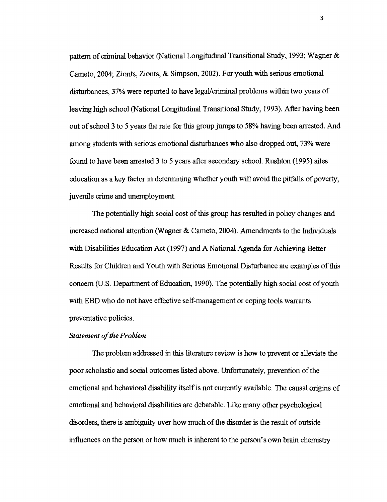pattern of criminal behavior (National Longitudinal Transitional Study, 1993; Wagner & Cameto, **2004;** Zionts, Zionts, & Simpson, **2002).** For youth **with** serious emotional disturbances, 37% were reported to have legal/criminal problems within two years of leaving high school (National Longitudinal Transitional Study, 1993). After having been out of school **3** to **5** years the rate for ttus group jumps to **58%** havlng been arrested. And among students with serious emotional disturbances who also dropped out, 73% were found to have been arrested **3** to **5** years after secondary school. Rushton **(1995)** sites education as a key factor in determining whether youth will avoid the pitfalls of poverty, juvemle crime and unemployment.

The potentially **hgh** social cost of ttus group **has** resulted in policy changes and increased national attention (Wagner & Cameto, **2004).** Amendments to the Indviduals with Disabilities Education Act **(1997)** and A National Agenda for Achieving Better Results for Children and Youth with Serious Emotional Disturbance are examples of this concern (U.S. Department of Education, **1990).** The potentially **hgh** social cost of youth with EBD who do not have effective self-management or coping tools warrants preventative policies.

# *Statement of the Problem*

The problem addressed in this literature review is how to prevent or alleviate the poor scholastic and social outcomes hted above. Unfortunately, prevention of the emotional and behavioral disability itself is not currently available. The causal origins of emotional and behavioral disabilities are debatable. Like many other psychological disorders, there is ambiguity over how much of the disorder is the result of outside influences on the person or how much is mherent to the person's own brain chemistry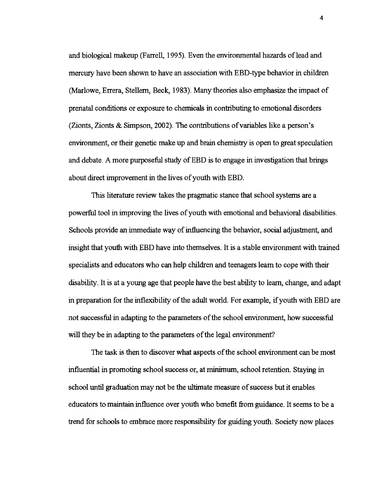and biological makeup (Farrell, 1995). Even the environmental hazards of lead and mercury have been shown to have an association with EBD-type behavior in children (Marlowe, Errera, Stellern, Beck, 1983). Many theories also emphasize the impact of prenatal conditions or exposure to chemicals in contributing to emotional disorders (Zionts, Zionts  $\&$  Simpson, 2002). The contributions of variables like a person's environment, or their genetic make up and brain chemistry is open to great speculation and debate. A more purposeful study of EBD is to engage in investigation that brings about direct improvement in the lives of youth with EBD.

This literature review takes the pragmatic stance that school systems are a powerful tool in improving the lives of youth with emotional and behavioral disabilities. Schools provide an immediate way of influencing the behavior, social adjustment, and insight that youth with EBD have into themselves. It is a stable environment with trained specialists and educators who can help children and teenagers learn to cope with their disability. It is at a young age that people have the best ability to learn, change, and adapt in preparation for the inflexibility of the adult world. For example, if youth with EBD are not successful in adapting to the parameters of the school environment, how successful will they be in adapting to the parameters of the legal environment?

The task is then to discover what aspects of the school environment can be most influential in promoting school success or, at minimum, school retention. Staying in school mbl graduation may not be the ultimate measure of success but it enables educators to maintain influence over youth who benefit fiom guidance. It seems to be a trend for schools to embrace more responsibhty for guiding youth. Society now places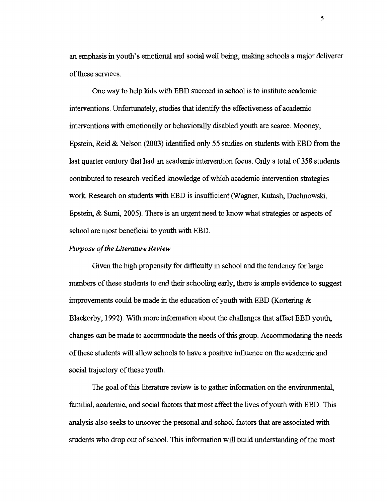an emphasis in youth's emotional and social well being, making schools a major deliverer of these services.

One way to help kids with EBD succeed in school is to institute academic interventions. Unfortunately, studies that identify the effectiveness of academic interventions with emotionally or behaviorally disabled youth are scarce. Mooney, Epstein, Reid & Nelson (2003) identified only 55 studies on students with EBD from the last quarter century that had an academic intervention focus. Only a total of 358 students contributed to research-verified knowledge of whch academic intervention strategies work. Research on students with EBD is insufficient (Wagner, Kutash, Duchnowski, Epstein, & Sumi, 2005). There is an urgent need to know what strategies or aspects of school are most beneficial to youth with EBD.

## *Purpose* of *the Literature Review*

Given the high propensity for difficulty in school and the tendency for large numbers of these students to end their schooling early, there is ample evidence to suggest improvements could be made in the education of youth with EBD (Kortering & Blackorby, 1992). With more information about the challenges that affect EBD youth, changes can be made to accommodate the needs of this group. Accommodating the needs of these students will allow schools to have a positive influence on the academic and social trajectory of these youth.

The goal of this literature review is to gather information on the environmental, familial, academic, and social factors that most affect the lives of youth with EBD. This analysis also seeks to uncover the personal and school factors that are associated with students who drop out of school. This information will build understanding of the most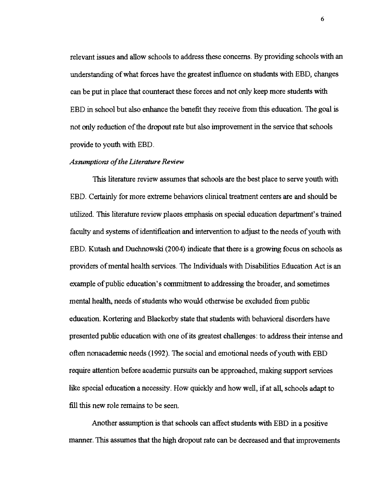relevant issues and allow schools to address these concerns. By providmg schools with an understanding of what forces have the greatest mfluence on students with EBD, changes can be put in place that counteract these forces and not only keep more students with EBD in school but also enhance the benefit they receive fiom this education. The goal is not only reduction of the dropout rate but also improvement in the service that schools provide to youth with EBD.

#### *Assumptions of the Literature Review*

This literature review assumes that schools are the best place to serve youth with EBD. Certainly for more extreme behaviors clinical treatment centers are and should be utilized. This literature review places emphasis on special education department's trained faculty and systems of identification and intervention to adjust to the needs of youth with EBD. Kutash and Duchnowski (2004) indicate that there is a growing focus on schools as providers of mental health services. The Individuals with Disabilities Education Act is an example of public education's commitment **to** addressing the broader, and sometimes mental health, needs of students who would otherwise be excluded fiom public education. Kortering and Blackorby state that students with behavioral disorders have presented public education with one of its greatest challenges: to address their intense and often nanacademic needs **(1992).** The social and emotional needs of youth with EBD require attention before academic pursuits can be approached, making support services hke special education a necessity. How quickly and how well, if at **all.,** schools adapt to fill this new role remains to be seen.

Another assumption is that schools can affect students **with** EBD in a positive manner. This assumes that the high dropout rate can be decreased and that improvements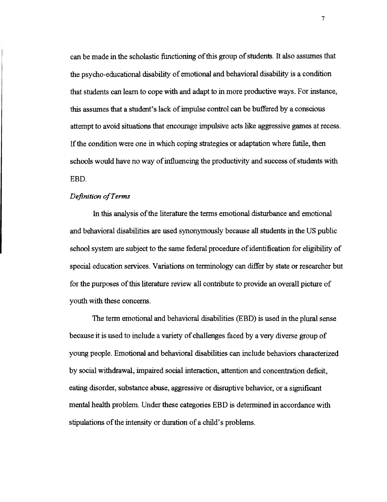can be made in the scholastic functioning of this group of students. It also assumes that the psycho-educational disability of emotional and behavioral disability is a condition that students can learn to cope with and adapt to in more productive ways. For instance, this assumes that a student's lack of impulse control can be buffered by a conscious attempt to avoid situations that encourage impulsive acts llke aggressive games at recess. If the condition were one in which coping strategies or adaptation where futile, then schools would have no way of influencing the productivity and success of students with EBD.

# *Definition* of *Terms*

In this analysis of the literature the terms emotional disturbance and emotional and behavioral disabilities are used synonymously because **all** students in the US public school system are subject to the same federal procedure of identification for eligbility of special education services. Variations on terminology can differ by state or researcher but for the purposes of ths literature review **all** contribute to provide an overall picture of youth with these concerns.

The term emotional and behavioral disabilities (EBD) is used in the plural sense because it is used to include a variety of challenges faced by a very diverse group of young people. Emotional and behavioral disabilities can include behaviors characterized by social withdrawal, impaired social interaction, attention and concentration deficit, eating disorder, substance abuse, aggressive or disruptive behavior, or a significant mental health problem. Under these categories EBD is determined in accordance with stipulations of the intensity or duration of a child's problems.

 $\overline{7}$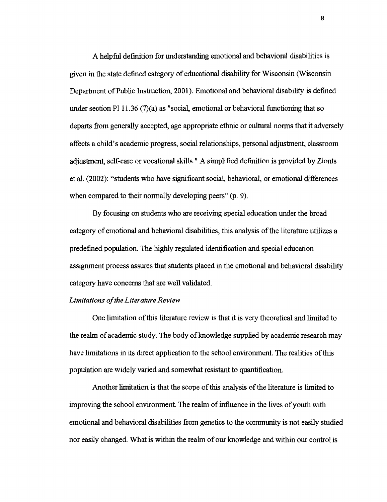A helpful definition for understanding emotional and behavioral disabilities is given in the state defined category of educational disability for Wisconsin (Wisconsin Department of Public Instruction, 2001). Emotional and behavioral disability is defined under section PI 11.36  $(7)(a)$  as "social, emotional or behavioral functioning that so departs fiom generally accepted, age appropriate ethnic or cultural norms that it adversely affects a child's academic progress, social relationships, personal adjustment, classroom adjustment, self-care or vocational skills." A simplified definition is provided by Zionts et al. (2002): "students who have significant social, behavioral, or emotional differences when compared to their normally developing peers"  $(p, 9)$ .

By focusing on students who are receiving special education under the broad category of emotional and behavioral disabilities, this analysis of the literature utilizes a predefined population. The hghly regulated identification and special education assignment process assures that students placed in the emotional and behavioral disability category have concerns that are well validated.

#### *Limitations of the Literature Review*

One limitation of this literature review is that it is very theoretical and limited to the realm of academic study. The body of knowledge supplied by academic research may have limitations in its direct application to the school environment. The realities of this population are widely varied and somewhat resistant to quantification.

Another limitation is that the scope of this analysis of the literature is limited to improving the school environment. The realm of influence in the lives of youth with emotional and behavioral disabilities from genetics to the community is not easily studied nor easily changed. What is within the realm of our knowledge and within our control is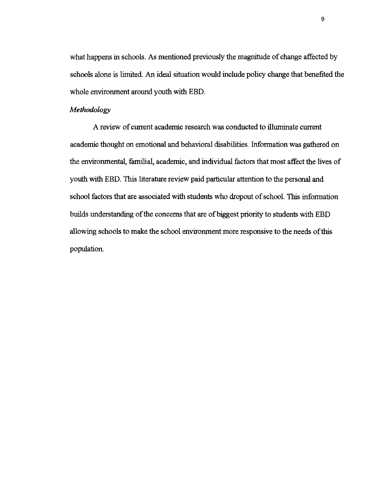what happens in schools. As mentioned previously the magnitude of change affected by schools alone is limited. An ideal situation would include policy change that benefited the whole environment around youth with EBD.

### *Methodology*

A review of current academic research was conducted to illuminate current academic thought on emotional and behavioral disabilities. Information was gathered on the environmental, familial, academic, and individual factors that most affect the lives of youth with EBD. This literature review paid particular attention to the personal and school factors that are associated with students who dropout of school. This information builds understanding of the concerns that are of biggest priority to students with EBD allowing schools to make the school environment more responsive to the needs of this population.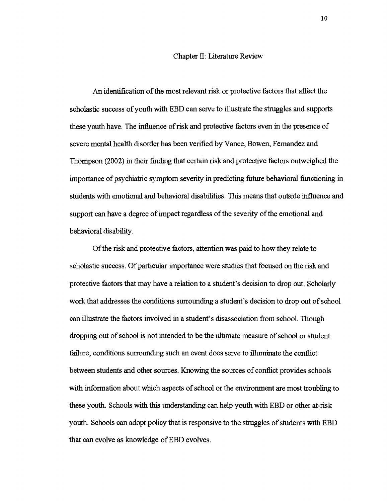## Chapter 11: Literature Review

An identification of the most relevant risk or protective factors that affect the scholastic success of youth with EBD can serve to illustrate the struggles and supports these youth have. The influence of risk and protective factors even in the presence of severe mental health disorder has been verified by Vance, Bowen, Fernandez and Thompson (2002) in their finding that certain risk and protective factors outweighed the importance of psychiatric symptom severity in predicting future behavioral functioning in students with emotional and behavioral disabilities. This means that outside influence and support can have a degree of impact regardless of the severity of the emotional and behavioral disability.

Of the risk and protective factors, attention was paid to how they relate to scholastic success. Of particular importance were studes that focused on the risk and protective factors that may have a relation to a student's decision to drop out. Scholarly work that addresses the conditions surroundmg a student's decision to drop out of school can illustrate the factors involved in a student's disassociation from school. Though dropping out of school is not intended to be the ultimate measure of school or student failure, conditions surrounding such an event does serve to illuminate the conflict between students and other sources. Knowing the sources of confhct provides schools with information about which aspects of school or the environment are most troubling to these youth. Schools with this understanding can help youth with EBD or other at-risk youth. Schools can adopt policy that is responsive to the struggles of students with EBD that can evolve as knowledge of EBD evolves.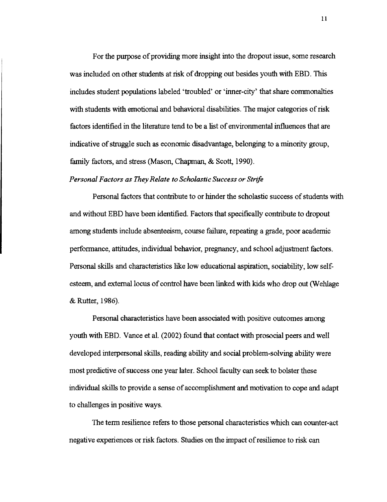For the purpose of providmg more insight into the dropout issue, some research was included on other students at risk of dropping out besides youth with EBD. This includes student populations labeled 'troubled' or 'inner-city' that share commonalties with students with emotional and behavioral disabilities. The major categories of risk factors identified in the literature tend to be a list of environmental influences that are indicative of struggle such as economic disadvantage, belonging to a minority group, family factors, and stress (Mason, Chapman, & Scott, 1990).

## *Personal Factors as They Relate to Scholastic Success or Sttlye*

Personal factors that contribute to or hinder the scholastic success of students with and without EBD have been identified. Factors that specifically contribute to dropout among students include absenteeism, course failure, repeating a grade, poor academic performance, attitudes, indvidual behavior, pregnancy, and school adjustment factors. Personal skills and characteristics like low educational aspiration, sociability, low selfesteem, and external locus of control have been linked with kids who drop out (Wehlage & Rutter, 1986).

Personal characteristics have been associated with positive outcomes among youth with EBD. Vance et al. (2002) found that contact with prosocial peers and well developed interpersonal skills, reading ability and social problem-solving ability were most predictive of success one year later. School faculty can seek to bolster these indvidual skills to provide a sense of accomplishment and motivation to cope and adapt to challenges in positive ways.

The term resdience refers to those personal characteristics whch can counter-act negative experiences or risk factors. Studies on the impact of resihence to risk can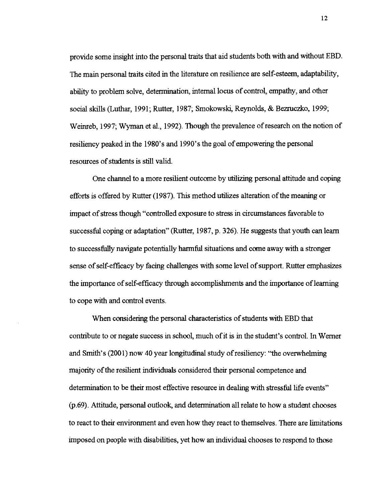provide some insight into the personal traits that aid students both with and without EBD. The main personal traits cited in the literature on resilience are self-esteem, adaptability, ability to problem solve, determination, internal locus of control, empathy, and other social skills (Luthar, 1991; Rutter, 1987; Smokowski, Reynolds, & Bezruczko, 1999; Weinreb, 1997; Wyrnan et al., 1992). Though the prevalence of research on the notion of resiliency peaked in the 1980's and 1990's the goal of empowering the personal resources of students is still valid.

One channel to a more resihent outcome by ublizing personal attitude and coping efforts is offered by Rutter (1987). This method utilizes alteration of the meaning or impact of stress though "controlled exposure to stress in circumstances favorable to successful coping or adaptation" (Rutter, 1987, p. 326). He suggests that youth can learn to successfully navigate potentially harmful situations and come away with a stronger sense of self-efficacy by facing challenges with some level of support. Rutter emphasizes the importance of self-efficacy through accomplishments and the importance of learning to cope with and control events.

When considering the personal characteristics of students with EBD that contribute to or negate success in school, much of it is in the student's control. In Werner and Smith's (2001) now 40 year longitudinal study of resiliency: "the overwhelming majority of the resilient individuals considered their personal competence and determination to be their most effective resource in dealing with stressful life events" (p.69). Attitude, personal outlook, and determination all relate to how a student chooses to react to their environment and even how they react to themselves. There are limitations imposed on people with disabilities, yet how an individual chooses to respond to those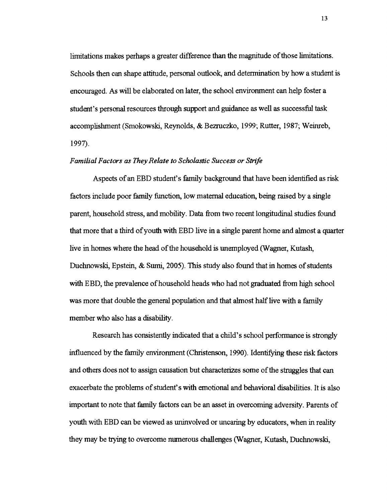limitations makes perhaps a greater difference than the magnitude of those limitations. Schools then can shape attitude, personal outlook, and determination by how a student is encouraged. As wdl be elaborated on later, the school environment can help foster a student's personal resources through support and guidance as well as successful task accomplishment (Smokowski, Reynolds, & Bezruczko, 1999; Rutter, 1987; Weinreb, 1997).

#### *Familial Factors as They Relate to Scholastic Success or Strife*

Aspects of an EBD student's family background that have been identified as risk factors include poor family function, low maternal education, being raised by a single parent, household stress, and mobility. Data from two recent longitudinal studies found that more that a third of youth with EBD live in a single parent home and almost a quarter live in homes where the head of the household is unemployed (Wagner, Kutash, Duchnowski, Epstein, & Sumi, 2005). This study also found that in homes of students with EBD, the prevalence of household heads who had not graduated fiom **hgh** school was more that double the general population and that almost half live with a family member who also has a disability.

Research has consistently indicated that a child's school performance is strongly influenced by the family environment (Christenson, 1990). Identifying these risk factors and others does not to assign causation but characterizes some of the struggles that can exacerbate the problems of student's with emotional and behavioral disabilities. It is also important to note that family factors can be an asset in overcommg adversity. Parents of youth with EBD can be viewed as uninvolved or uncaring by educators, when in reality they may be trying to overcome numerous challenges (Wagner, Kutash, Duchnowski,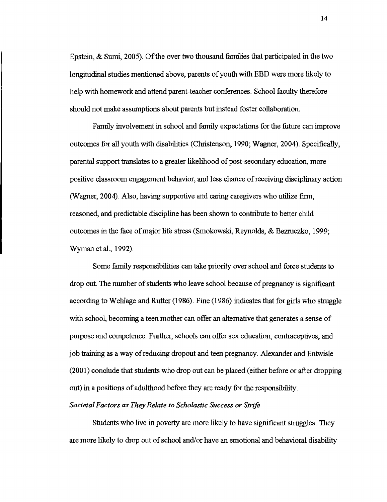Epstein, & Sumi, 2005). Of the over two thousand families that participated in the two longitudinal studies mentioned above, parents of youth with EBD were more likely to help with homework and attend parent-teacher conferences. School faculty therefore should not make assumptions about parents but instead foster collaboration.

Family involvement in school and family expectations for the future can improve outcomes for **all** youth with disabilities (Chnstenson, 1990; Wagner, 2004). Specifically, parental support translates to a greater hkehhood of post-secondary education, more positive classroom engagement behavior, and less chance of receiving disciphary action (Wagner, 2004). Also, having supportive and caring caregivers who utilize firm, reasoned, and predctable discipline has been shown to contribute to better child outcomes in the face of major life stress (Smokowsla, Reynolds, & Bezruczko, 1999; Wyman et al., 1992).

Some family responsibilities can take priority over school and force students to drop out. The number of students who leave school because of pregnancy is significant according to Wehlage and Rutter (1986). Fine (1986) indicates that for girls who struggle with school, becoming a teen mother can offer an alternative that generates a sense of purpose and competence. Further, schools can offer sex education, contraceptives, and job training as a way of reducing dropout and teen pregnancy. Alexander and Entwisle (2001) conclude that students who drop out can be placed (either before or after dropping out) in a positions of adulthood before they are ready for the responsibility.

## *Societal Factors as They Relate to Scholastic Success or Strife*

Students who live in poverty are more likely to have sigmficant struggles. They are more likely to drop out of school and/or have an emotional and behavioral disability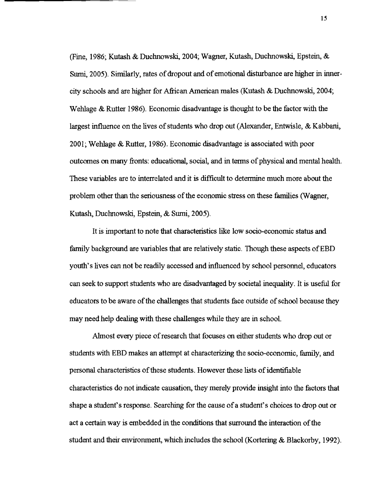(Fine, 1986; Kutash & Duchnowsla, 2004; Wagner, Kutash, Duchnowsh, Epstein, & Sumi, 2005). Similarly, rates of dropout and of emotional disturbance are higher in innercity schools and are hgher for Afiican American males (Kutash & Duchnowski, 2004; Wehlage  $\&$  Rutter 1986). Economic disadvantage is thought to be the factor with the largest influence on the lives of students who drop out (Alexander, Entwisle, & Kabbani, 2001; Wehlage & Rutter, 1986). Economic disadvantage is associated with poor outcomes on many fronts: educational, social, and in terms of physical and mental health. These variables are to interrelated and it is dfficult to determine much more about the problem other than the seriousness of the economic stress on these families (Wagner, Kutash, Duchnowski, Epstein, & Sumi, 2005).

It is important to note that characteristics like low socio-economic status and family background are variables that are relatively static. Though these aspects of EBD youth's lives can not be readily accessed and influenced by school personnel, educators can seek to support students who are disadvantaged by societal inequality. It is useful for educators to be aware of the challenges that students face outside of school because they may need help dealing with these challenges while they are in school.

Almost every piece of research that focuses on either students who drop out or students with EBD makes an attempt at characterizing the socio-economic, family, and personal characteristics of these students. However these lists of idenhfiable characteristics do not indicate causation, they merely provide insight into the factors that shape a student's response. Searching for the cause of a student's choices to drop out or act a certain way is embedded in the conditions that surround the interaction of the student and their environment, which includes the school (Kortering  $\&$  Blackorby, 1992).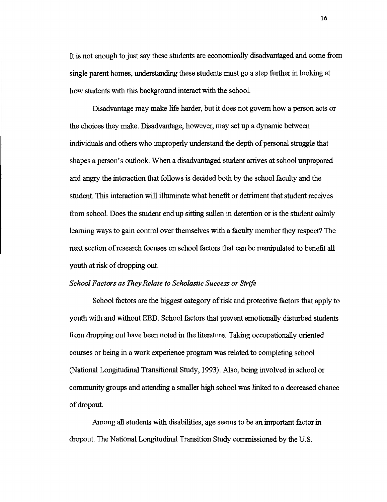It is not enough to just say these students are economically disadvantaged and come from single parent homes, understanding these students must go a step fiuther in looking at how students with this background interact with the school.

Disadvantage may make life harder, but it does not govern how a person acts or the choices they make. Disadvantage, however, may set up a dynamic between individuals and others who improperly understand the depth of personal struggle that shapes a person's outlook. When a disadvantaged student arrives at school unprepared and angry the interaction that follows is decided both by the school faculty and the student. This interaction will illuminate what benefit or detriment that student receives from school. Does the student end up sitting sullen in detention or is the student calmly learning ways to gain control over themselves with a faculty member they respect? The next section of research focuses on school factors that can be manipulated to benefit all youth at risk of dropping out.

# *School Factors as They Relate to Scholastic Success or Strife*

School factors are the biggest category of risk and protective factors that apply to youth with and without EBD. School factors that prevent emotionally disturbed students from dropping out have been noted in the literature. Taking occupationally oriented courses or being in a work experience program was related to completing school (National Longitudmal Transitional Study, 1993). Also, being involved in school or community groups and attendmg a smaller **hgh** school was lrnked to a decreased chance of dropout.

Among all students with disabilities, age seems to be **an** important factor in dropout. The National Longitudinal Transition Study commissioned by the U.S.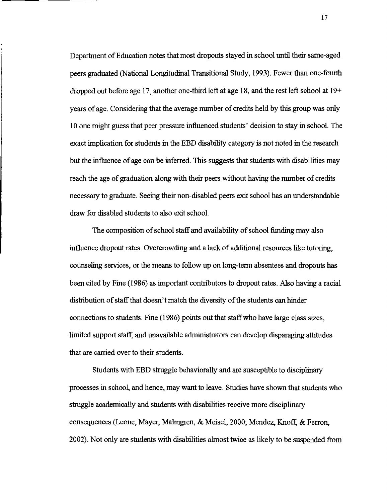Department of Education notes that most dropouts stayed in school until their same-aged peers graduated (National Longitudinal Transitional Study, 1993). Fewer than one-fourth dropped out before age 17, another one-third left at age 18, and the rest left school at  $19+$ years of age. Considering that the average number of credits held by this group was only 10 one might guess that peer pressure influenced students' decision to stay in school. The exact implication for students in the EBD disability category is not noted in the research but the influence of age can be inferred. This suggests that students with disabilities may reach the age of graduation along with their peers without having the number of credits necessary to graduate. Seeing their non-habled peers exit school has **an** understandable draw for disabled students to also exit school.

The composition of school staff and availability of school funding may also influence dropout rates. Overcrowdug and a lack of addtional resources like tutoring, counseling services, or the means to follow up on long-term absentees and dropouts has been cited by Fine (1 986) as important contributors to dropout rates. Also having a racial distribution of staff that doesn't match the diversity of the students can hinder connections to students. Fine (1 986) points out that staff who have large class sizes, limited support staff, and unavailable administrators can develop disparaging attitudes that are carried over to their students.

Students with EBD struggle behaviorally and are susceptible to disciplinary processes in school, and hence, may want to leave. Studes have shown that students who struggle academically and students with disabilities receive more disciplinary consequences (Leone, Mayer, Malmgren, & Meisel, 2000; Mendez, Knoff, & Ferron, 2002). Not only are students with disabilities almost twice as llkely to be suspended fiom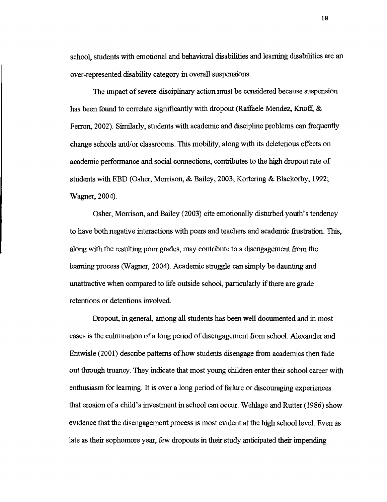school, students with emotional and behavioral disabilities and learning disabilities are an over-represented disability category in overall suspensions.

The impact of severe disciplinary action must be considered because suspension has been found to correlate significantly with dropout (Raffaele Mendez, Knoff, & Ferron, 2002). Similarly, students with academic and discipline problems can frequently change schools and/or classrooms. This mobihty, along with its deleterious effects on academic performance and social connections, contributes to the **hgh** dropout rate of students with EBD (Osher, Morrison, & Bailey, 2003; Kortering & Blackorby, 1992; Wagner, 2004).

Osher, Morrison, and Bailey (2003) cite emotionally disturbed youth's tendency to have both negative interactions with peers and teachers and academic frustration. This, along with the resulting poor grades, may contribute to a disengagement from the learning process (Wagner, 2004). Academic struggle can simply be daunting and unattractive when compared to life outside school, parhcularly if there are grade retentions or detentions involved.

Dropout, in general, among **all** students has been well documented and in most cases is the culmination of a long period of disengagement from school. Alexander and Entwisle (2001) describe patterns of how students disengage fiom academics then fade out through truancy. They indicate that most young children enter their school career with enthusiasm for learning. It is over a long period of failure or discouraging experiences that erosion of a child's investment in school can occur. Wehlage and Rutter (1986) show evidence that the disengagement process is most evident at the high school level. Even as late as their sophomore year, few dropouts in their study anticipated their impendmg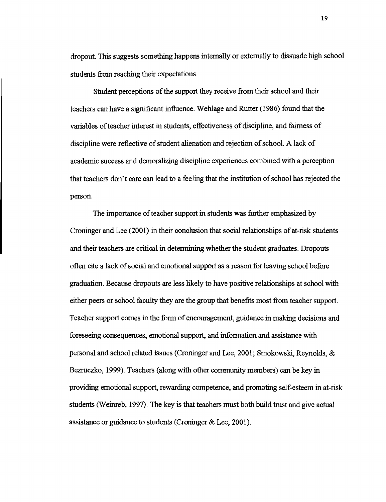dropout. This suggests something happens internally or externally to dissuade high school students from reaching their expectations.

Student perceptions of the support they receive from their school and their teachers can have a significant influence. Wehlage and Rutter (1 986) found that the variables of teacher interest in students, effectiveness of discipline, and fairness of discipline were reflective of student alienation and rejection of school. A lack of academic success and demoralizing discipline experiences combined with a perception that teachers don't care can lead to a feeling that the institution of school has rejected the person.

The importance of teacher support in students was further emphasized by Cronunger and Lee (2001) in their conclusion that social relationships of at-risk students and their teachers are critical in determining whether the student graduates. Dropouts often cite a lack of social and emotional support as a reason for leaving school before graduation. Because dropouts are less hkely to have positive relationshps at school with either peers or school faculty they are the group that benefits most from teacher support. Teacher support comes in the form of encouragement, guidance in making decisions and foreseeing consequences, emotional support, and information and assistance with personal and school related issues (Croninger and Lee, 2001; Smokowski, Reynolds, & Bezruczko, 1999). Teachers (along with other community members) can be key in providmg emotional support, rewardmg competence, and promoting self-esteem in at-risk students (Weinreb, 1997). The key is that teachers must both build trust and give actual assistance or guidance to students (Croninger  $&$  Lee, 2001).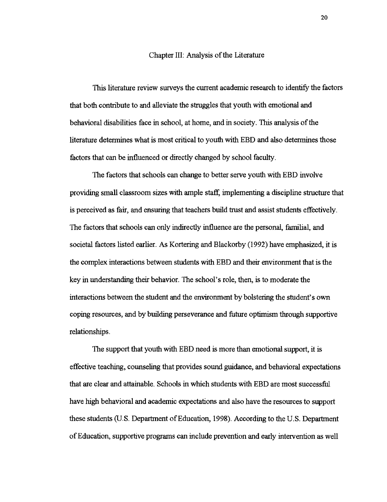## Chapter 111: Analysis of the Literature

This literature review surveys the current academic research to identify the factors that both contribute to and alleviate the struggles that youth with emotional and behavioral disabilities face in school, at home, and in society. This analysis of the literature determines what is most critical to youth with EBD and also determines those factors that can be influenced or directly changed by school faculty.

The factors that schools can change to better serve youth with EBD involve providing small classroom sizes with ample staff, implementing a discipline structure that is perceived as fair, and ensuring that teachers build trust and assist students effectively. The factors that schools can only indirectly influence are the personal, familial, and societal factors listed earlier. **As** Kortering and Blackorby **(1992)** have emphasized, it is the complex interactions between students with EBD and their environment that is the key in understandmg their behavior. The school's role, then, is to moderate the interactions between the student and the environment by bolstering the student's own coping resources, and by buildmg perseverance and future optimism through supportive relationships.

The support that youth with EBD need is more than emotional support, it is effective teaching, counseling that provides sound guidance, and behavioral expectations that are clear and attainable. Schools in which students with EBD are most successful have high behavioral and academic expectations and also have the resources to support these students (U.S. Department of Education, **1998).** According to the U.S. Department of Education, supportive programs can include prevention and early intervention as well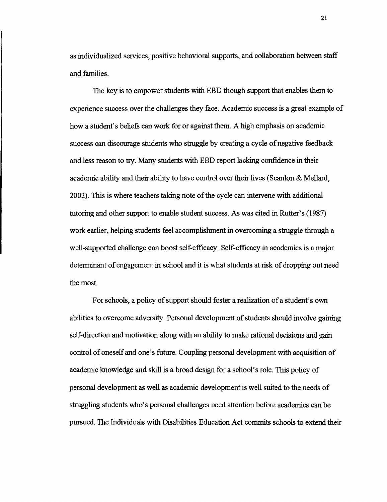as individualized services, positive behavioral supports, and collaboration between staff and families.

The key is to empower students with EBD though support that enables them to experience success over the challenges they face. Academic success is a great example of how a student's beliefs can work for or against them. A high emphasis on academic success can discourage students who struggle by creating a cycle of negative feedback and less reason to try. Many students with EBD report lacking confidence in their academic ability and their ability to have control over their lives (Scanlon & Mellard, 2002). This is where teachers taking note of the cycle can intervene with additional tutormg and other support to enable student success. As was cited in Rutter's (1987) work earlier, helping students feel accomplishment in overcoming a struggle through a well-supported challenge can boost self-efficacy. Self-efficacy in academics is a major determinant of engagement in school and it is what students at risk of dropping out need the most.

For schools, a policy of support should foster a realization of a student's own abilities to overcome adversity. Personal development of students should involve gaining self-direction and motivation along with an ability to make rational decisions and gain control of oneself and one's future. Coupling personal development with acquisition of academic knowledge and skill is a broad design for a school's role. This policy of personal development as well as academic development is well suited to the needs of strugglmg students who's personal challenges need attention before academics can be pursued. The Indviduals with Disabilities Education Act commits schools to extend their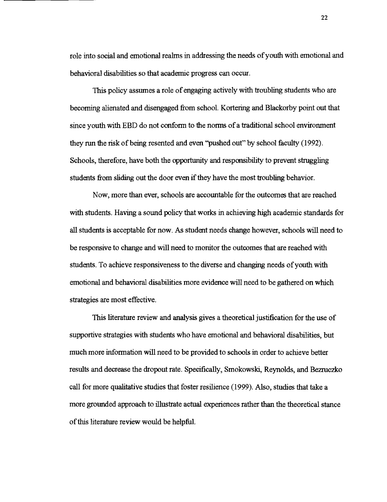role into social and emotional realms in addressing the needs of youth with emotional and behavioral disabilities so that academic progress can occur.

This policy assumes a role of engaging actively with troubling students who are becoming alienated and disengaged from school. Kortering and Blackorby point out that since youth with EBD do not conform to the norms of a tradtional school environment they run the risk of being resented and even "pushed out" by school faculty (1992). Schools, therefore, have both the opportunity and responsibility to prevent struggling students from slidmg out the door even if they have the most troubhng behavior.

Now, more than ever, schools are accountable for the outcomes that are reached with students. Having a sound policy that works in achieving **hgh** academic standards for **all** students is acceptable for now. **As** student needs change however, schools wdl need to be responsive to change and will need to monitor the outcomes that are reached with students. To achieve responsiveness to the diverse and changing needs of youth with emotional and behavioral disabilrties more evidence will need to be gathered on which strategies are most effective.

This literature review and analysis gives a theoretical justification for the use of supportive strategies with students who have emotional and behavioral disabilities, but much more information wdl need to be provided to schools in order to acheve better results and decrease the dropout rate. Specifically, Smokowski, Reynolds, and Bezruczko call for more qualitative studes that foster resilience (1999). Also, studies that take a more grounded approach to illustrate actual experiences rather **than** the theoretical stance of this literature review would be helpful.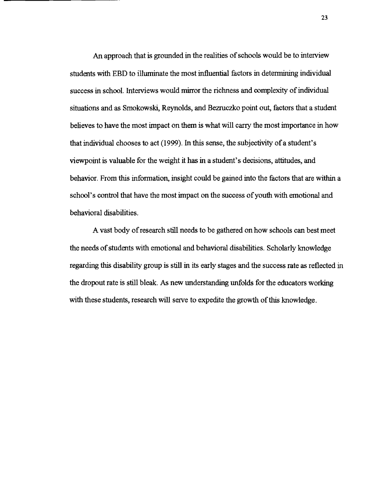An approach that is grounded in the realities of schools would be to interview students with EBD to illuminate the most influential factors in determining individual success in school. Interviews would mirror the richness and complexity of indtvidual situations and as Smokowski, Reynolds, and Bezruczko point out, factors that a student believes to have the most impact on them is what will carry the most importance in how that individual chooses to act (1999). In this sense, the subjectivity of a student's viewpoint is valuable for the weight it **has** in a student's decisions, attitudes, and behavior. From this information, insight could be gained into the factors that are within a school's control that have the most impact on the success of youth with emotional and behavioral disabilities.

**A** vast body of research still needs to be gathered on how schools can best meet the needs of students with emotional and behavioral disabilities. Scholarly knowledge regarding this disability group is still in its early stages and the success rate as reflected in the dropout rate is still bleak. As new understanding unfolds for the educators working with these students, research will serve to expedite the growth of this knowledge.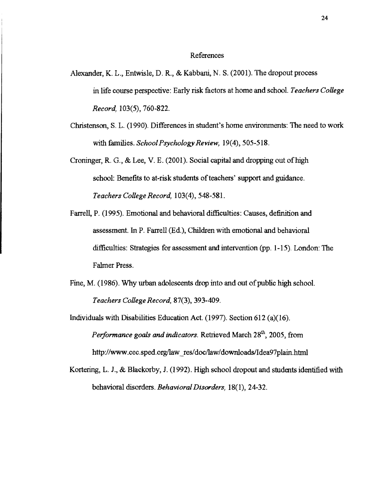#### References

- Alexander, K. L., Entwisle, D. R., & Kabbani, N. S. (2001). The dropout process in life course perspective: Early risk factors at home and school. *Teachers College Record,* 103(5), 760-822.
- Christenson, S. L. (1990). Differences in student's home environments: The need to work with families. *School Psychology Review,* 19(4), 505-5 18.
- Croninger, R. G., & Lee, V. E. (2001). Social capital and dropping out of high school: Benefits to at-risk students of teachers' support and guidance. *Teachers College Record,* 103(4), 548-581.
- Farrell, P. (1995). Emotional and behavioral difficulties: Causes, definition and assessment. In P. Farrell (Ed.), Children with emotional and behavioral difficulties: Strategies for assessment and intervention (pp. 1-15). London: The Falmer Press.
- Fine, M. (1986). Why urban adolescents drop into and out of public high school. *Teachers College Record,* 87(3), 393-409.
- Individuals with Disabilities Education Act. (1997). Section 612 (a)(16). *Performance goals and indicators.* Retrieved March 28<sup>th</sup>, 2005, from http://www.cec.sped.org/law\_res/doc/law/downloads/Idea97plain.html
- Kortering, L. J., & Blackorby, J. (1992). High school dropout and students identified with behavioral disorders. *Behavioral Disorders*, 18(1), 24-32.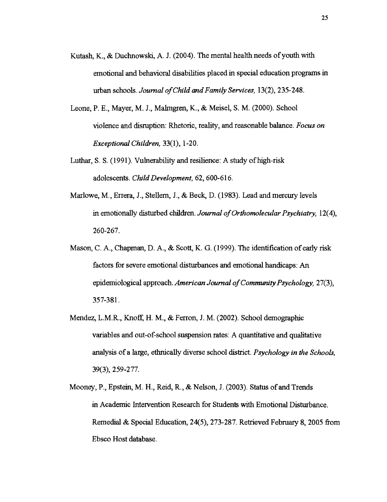- Kutash, K., & Duchnowsh, A. J. (2004). The mental health needs of youth with emotional and behavioral disabilities placed in special education programs in urban schools. *Journal of Child and Family Services,* 13(2), 235-248.
- Leone, P. E., Mayer, M. J., Malmgren, K., & Meisel S. M. (2000). School violence and disruption: Rhetoric, reality, and reasonable balance. *Focus on Exceptional Children,* 33(1), *1* -2 0.
- Luthar, S. S. (1991). Vulnerability and resilience: A study of high-risk adolescents. *Child Development*, 62, 600-616.
- Marlowe, M., Errera, J., Stellern, J., & Beck, D. (1983). Lead and mercury levels in emotionally disturbed children. *Journal of Orthomolecular Psychiatry,* 12(4), 260-267.
- Mason, C. A., Chapman, D. A., & Scott, K. G. (1999). The identification of early risk factors for severe emotional disturbances and emotional handicaps: An epidemiological approach. *American Journal of Community Psychology*, 27(3), 357-381.
- Mendez, L.M.R., Knoff, H. M., & Ferron, J. M. (2002). School demographic variables and out-of-school suspension rates: A quantitative and qualitative analysis of a large, ethnically diverse school district. *Psychology in the Schools*, 39(3), 259-277.
- Mooney, P., Epstein, M. H., Reid, R., & Nelson, J. (2003). Status of and Trends in Academic Intervention Research for Students with Emotional Disturbance. Remedial & Special Education, 24(5), 273-287. Retrieved February 8, 2005 from Ebsco Host database.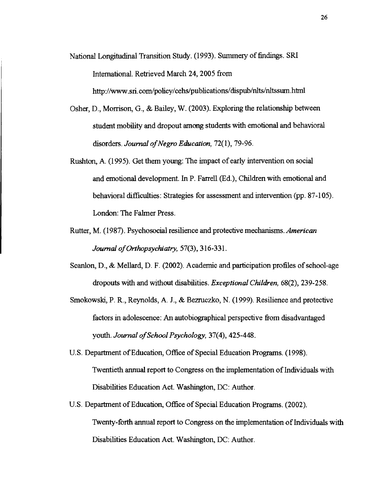National Longitudinal Transition Study. (1993). Summery of findings. SRI International. Retrieved March 24,2005 from http://www.sri.com/policy/cehs/publications/dispub/nlts/nltssum.html

- Osher, D., Morrison, G., & Bailey, W. (2003). Exploring the relationshp between student mobility and dropout among students with emotional and behavioral disorders. *Journal of Negro Education,* 72(1), 79-96.
- Rushton, A. (1995). Get them young: The impact of early intervention on social and emotional development. In P. Farrell (Ed.), Children with emotional and behavioral difficulties: Strategies for assessment and intervention (pp. 87-105). London: The Falmer Press.
- Rutter, M. (1987). Psychosocial resilience and protective mechanisms. *American Journal of Orthopsychiatry, 57(3), 316-331.*
- Scanlon, D., & Mellard, D. F. (2002). Academic and participation profiles of school-age dropouts with and without disabilities. *Exceptional Children*,  $68(2)$ , 239-258.
- Smokowski, P. R., Reynolds, A. J., & Bezruczko, N. (1 999). Resilience and protective factors in adolescence: An autobiographical perspective from disadvantaged youth. *Journal of School Psychology,* 37(4), 425-448.
- U.S. Department of Education, Office of Special Education Programs. (1998). Twentieth annual report to Congress on the implementation of Individuals with Disabilities Education Act. Washington, DC: Author.
- U.S. Department of Education, Office of Special Education Programs. (2002). Twenty-forth annual report to Congress on the implementation of Indviduals with Disabilities Education Act. Washmgton, DC: Author.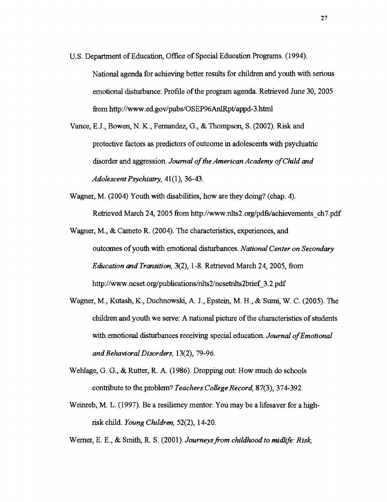- U.S. Department of Education, Office of Special Education Programs. (1994). National agenda for acheving better results for chldren and youth with serious emotional disturbance: Profile of the program agenda. Retrieved June 30, 2005 from http://www.ed.gov/pubs/OSEP96AnlRpt/appd-3.html
- Vance, E.J., Bowen, N. K., Fernandez, G., & Thompson, S. (2002). Risk and protective factors as predctors of outcome in adolescents with psychatric disorder and aggression. *Journal of the American Academy of Child and Adolescent Psychiatry, 41(1), 36-43.*
- Wagner, M. (2004) Youth with disabilities, how are they doing? (chap. 4). Retrieved March 24, 2005 from http://www.nlts2.org/pdfs/achievements-ch7.pdf
- Wagner, M., & Cameto R. (2004). The characteristics, experiences, and outcomes of youth with emotional disturbances. *National Center on Secondary Education and Transition,* 3(2), 1-8. Retrieved March 24, 2005, from **http://www.ncset.org/publications/nlts2/ncsetnlts2brief-3.2.pdf**
- Wagner, M., Kutash, K., Duchnowslu, **A.** J., Epstein, M. H., & Sumi, W. C. (2005). The children and youth we serve: A national picture of the characteristics of students with emotional disturbances receiving special education. *Journal of Emotional and Behavioral Disorders,* 13(2), 79-96.
- Wehlage, G. G., & Rutter, R. A. (1986). Dropping out: How much do schools contribute to the problem? *Teachers College Record,* 87(3), 374-392.
- Weinreb, M. L. (1997). Be a resiliency mentor: You may be a lifesaver for a highrisk chdd. *Young Chzldren,* 52(2), 14-20.
- Werner, E. E., & Smith, R. S. (2001). *Journeysfiom childhood to midlife: Risk,*